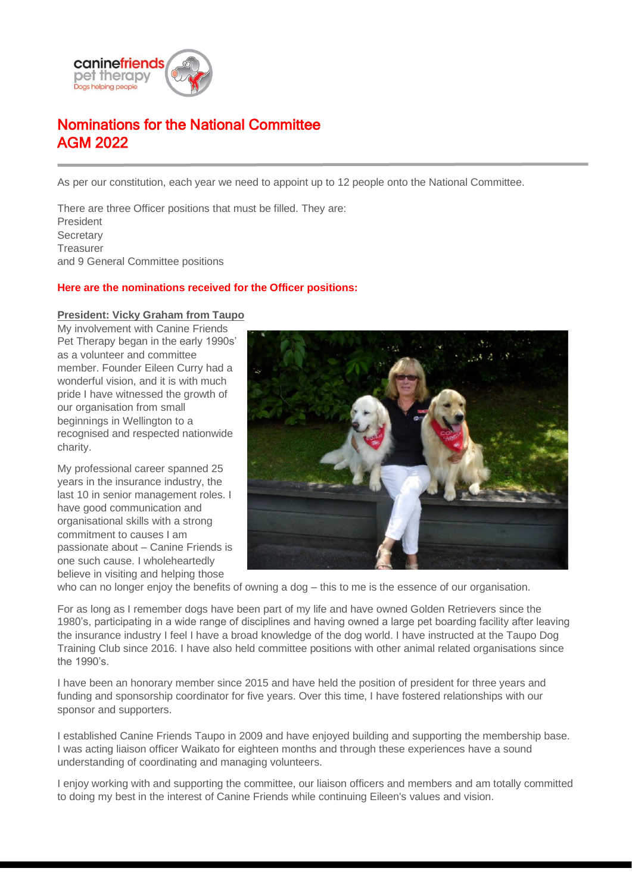

# Nominations for the National Committee AGM 2022

As per our constitution, each year we need to appoint up to 12 people onto the National Committee.

There are three Officer positions that must be filled. They are: President **Secretary Treasurer** and 9 General Committee positions

## **Here are the nominations received for the Officer positions:**

### **President: Vicky Graham from Taupo**

My involvement with Canine Friends Pet Therapy began in the early 1990s' as a volunteer and committee member. Founder Eileen Curry had a wonderful vision, and it is with much pride I have witnessed the growth of our organisation from small beginnings in Wellington to a recognised and respected nationwide charity.

My professional career spanned 25 years in the insurance industry, the last 10 in senior management roles. I have good communication and organisational skills with a strong commitment to causes I am passionate about – Canine Friends is one such cause. I wholeheartedly believe in visiting and helping those



who can no longer enjoy the benefits of owning a dog – this to me is the essence of our organisation.

For as long as I remember dogs have been part of my life and have owned Golden Retrievers since the 1980's, participating in a wide range of disciplines and having owned a large pet boarding facility after leaving the insurance industry I feel I have a broad knowledge of the dog world. I have instructed at the Taupo Dog Training Club since 2016. I have also held committee positions with other animal related organisations since the 1990's.

I have been an honorary member since 2015 and have held the position of president for three years and funding and sponsorship coordinator for five years. Over this time, I have fostered relationships with our sponsor and supporters.

I established Canine Friends Taupo in 2009 and have enjoyed building and supporting the membership base. I was acting liaison officer Waikato for eighteen months and through these experiences have a sound understanding of coordinating and managing volunteers.

I enjoy working with and supporting the committee, our liaison officers and members and am totally committed to doing my best in the interest of Canine Friends while continuing Eileen's values and vision.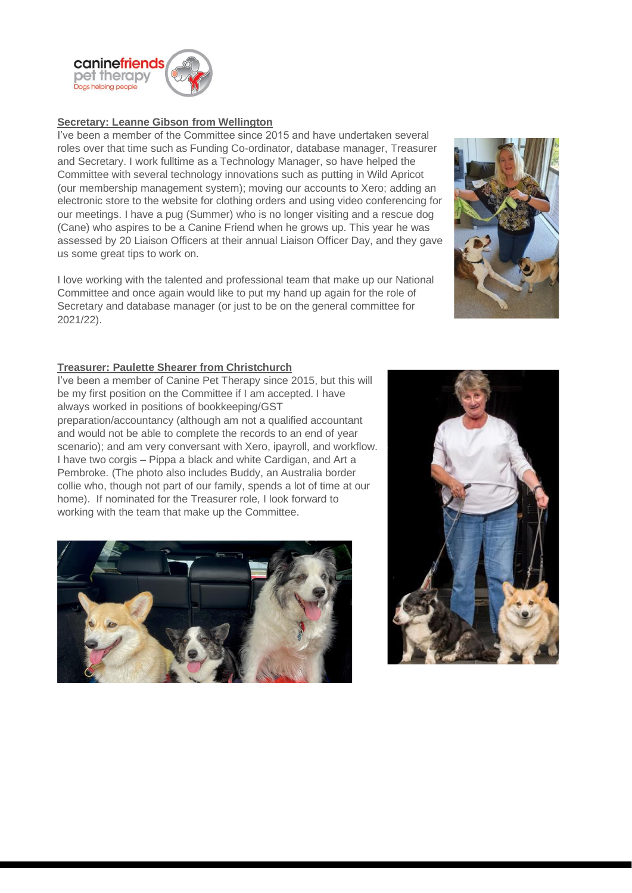

## **Secretary: Leanne Gibson from Wellington**

I've been a member of the Committee since 2015 and have undertaken several roles over that time such as Funding Co-ordinator, database manager, Treasurer and Secretary. I work fulltime as a Technology Manager, so have helped the Committee with several technology innovations such as putting in Wild Apricot (our membership management system); moving our accounts to Xero; adding an electronic store to the website for clothing orders and using video conferencing for our meetings. I have a pug (Summer) who is no longer visiting and a rescue dog (Cane) who aspires to be a Canine Friend when he grows up. This year he was assessed by 20 Liaison Officers at their annual Liaison Officer Day, and they gave us some great tips to work on.

I love working with the talented and professional team that make up our National Committee and once again would like to put my hand up again for the role of Secretary and database manager (or just to be on the general committee for 2021/22).



## **Treasurer: Paulette Shearer from Christchurch**

I've been a member of Canine Pet Therapy since 2015, but this will be my first position on the Committee if I am accepted. I have always worked in positions of bookkeeping/GST preparation/accountancy (although am not a qualified accountant and would not be able to complete the records to an end of year scenario); and am very conversant with Xero, ipayroll, and workflow. I have two corgis – Pippa a black and white Cardigan, and Art a Pembroke. (The photo also includes Buddy, an Australia border collie who, though not part of our family, spends a lot of time at our home). If nominated for the Treasurer role, I look forward to working with the team that make up the Committee.



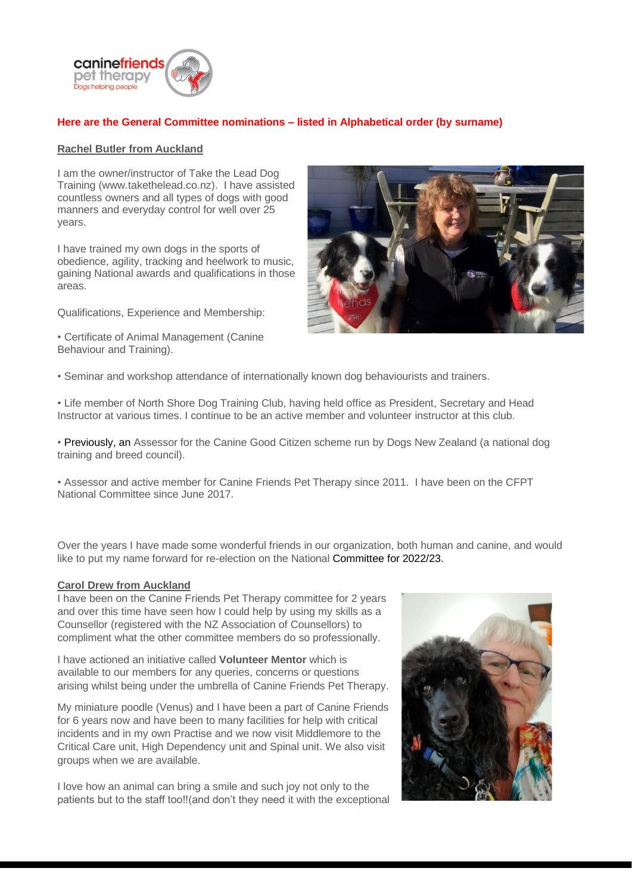

# **Here are the General Committee nominations – listed in Alphabetical order (by surname)**

#### **Rachel Butler from Auckland**

I am the owner/instructor of Take the Lead Dog Training (www.takethelead.co.nz). I have assisted countless owners and all types of dogs with good manners and everyday control for well over 25 years.

I have trained my own dogs in the sports of obedience, agility, tracking and heelwork to music, gaining National awards and qualifications in those areas.

Qualifications, Experience and Membership:

• Certificate of Animal Management (Canine Behaviour and Training).



• Seminar and workshop attendance of internationally known dog behaviourists and trainers.

• Life member of North Shore Dog Training Club, having held office as President, Secretary and Head Instructor at various times. I continue to be an active member and volunteer instructor at this club.

• Previously, an Assessor for the Canine Good Citizen scheme run by Dogs New Zealand (a national dog training and breed council).

• Assessor and active member for Canine Friends Pet Therapy since 2011. I have been on the CFPT National Committee since June 2017.

Over the years I have made some wonderful friends in our organization, both human and canine, and would like to put my name forward for re-election on the National Committee for 2022/23.

#### **Carol Drew from Auckland**

I have been on the Canine Friends Pet Therapy committee for 2 years and over this time have seen how I could help by using my skills as a Counsellor (registered with the NZ Association of Counsellors) to compliment what the other committee members do so professionally.

I have actioned an initiative called **Volunteer Mentor** which is available to our members for any queries, concerns or questions arising whilst being under the umbrella of Canine Friends Pet Therapy.

My miniature poodle (Venus) and I have been a part of Canine Friends for 6 years now and have been to many facilities for help with critical incidents and in my own Practise and we now visit Middlemore to the Critical Care unit, High Dependency unit and Spinal unit. We also visit groups when we are available.

I love how an animal can bring a smile and such joy not only to the patients but to the staff too!!(and don't they need it with the exceptional

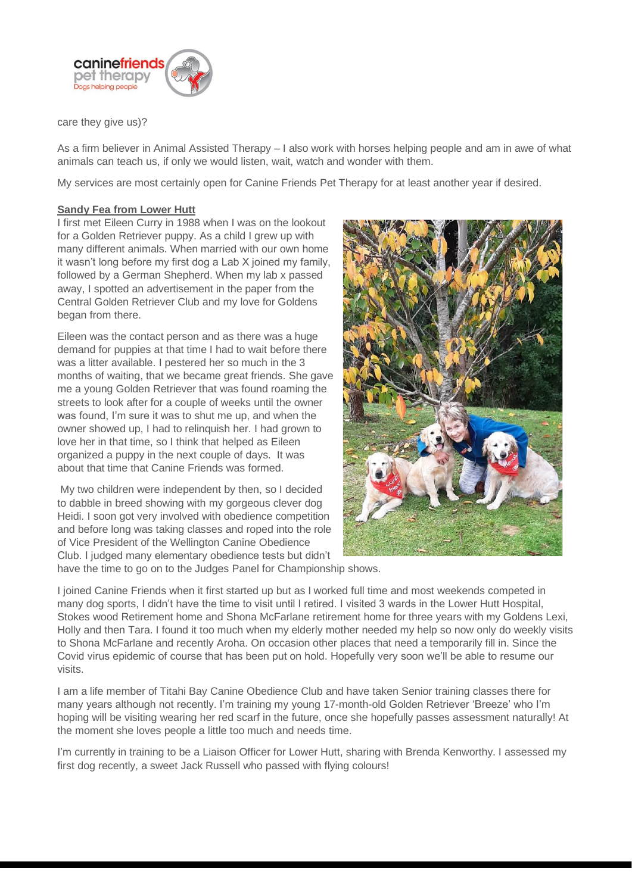

care they give us)?

As a firm believer in Animal Assisted Therapy – I also work with horses helping people and am in awe of what animals can teach us, if only we would listen, wait, watch and wonder with them.

My services are most certainly open for Canine Friends Pet Therapy for at least another year if desired.

## **Sandy Fea from Lower Hutt**

I first met Eileen Curry in 1988 when I was on the lookout for a Golden Retriever puppy. As a child I grew up with many different animals. When married with our own home it wasn't long before my first dog a Lab X joined my family, followed by a German Shepherd. When my lab x passed away, I spotted an advertisement in the paper from the Central Golden Retriever Club and my love for Goldens began from there.

Eileen was the contact person and as there was a huge demand for puppies at that time I had to wait before there was a litter available. I pestered her so much in the 3 months of waiting, that we became great friends. She gave me a young Golden Retriever that was found roaming the streets to look after for a couple of weeks until the owner was found, I'm sure it was to shut me up, and when the owner showed up. I had to relinquish her. I had grown to love her in that time, so I think that helped as Eileen organized a puppy in the next couple of days. It was about that time that Canine Friends was formed.

My two children were independent by then, so I decided to dabble in breed showing with my gorgeous clever dog Heidi. I soon got very involved with obedience competition and before long was taking classes and roped into the role of Vice President of the Wellington Canine Obedience Club. I judged many elementary obedience tests but didn't



have the time to go on to the Judges Panel for Championship shows.

I joined Canine Friends when it first started up but as I worked full time and most weekends competed in many dog sports, I didn't have the time to visit until I retired. I visited 3 wards in the Lower Hutt Hospital, Stokes wood Retirement home and Shona McFarlane retirement home for three years with my Goldens Lexi, Holly and then Tara. I found it too much when my elderly mother needed my help so now only do weekly visits to Shona McFarlane and recently Aroha. On occasion other places that need a temporarily fill in. Since the Covid virus epidemic of course that has been put on hold. Hopefully very soon we'll be able to resume our visits.

I am a life member of Titahi Bay Canine Obedience Club and have taken Senior training classes there for many years although not recently. I'm training my young 17-month-old Golden Retriever 'Breeze' who I'm hoping will be visiting wearing her red scarf in the future, once she hopefully passes assessment naturally! At the moment she loves people a little too much and needs time.

I'm currently in training to be a Liaison Officer for Lower Hutt, sharing with Brenda Kenworthy. I assessed my first dog recently, a sweet Jack Russell who passed with flying colours!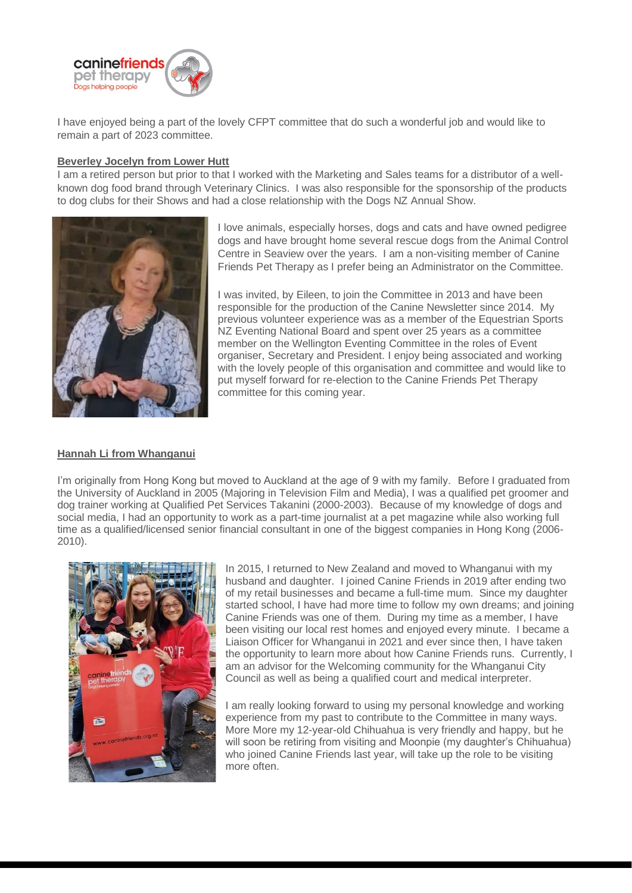

I have enjoyed being a part of the lovely CFPT committee that do such a wonderful job and would like to remain a part of 2023 committee.

## **Beverley Jocelyn from Lower Hutt**

I am a retired person but prior to that I worked with the Marketing and Sales teams for a distributor of a wellknown dog food brand through Veterinary Clinics. I was also responsible for the sponsorship of the products to dog clubs for their Shows and had a close relationship with the Dogs NZ Annual Show.



I love animals, especially horses, dogs and cats and have owned pedigree dogs and have brought home several rescue dogs from the Animal Control Centre in Seaview over the years. I am a non-visiting member of Canine Friends Pet Therapy as I prefer being an Administrator on the Committee.

I was invited, by Eileen, to join the Committee in 2013 and have been responsible for the production of the Canine Newsletter since 2014. My previous volunteer experience was as a member of the Equestrian Sports NZ Eventing National Board and spent over 25 years as a committee member on the Wellington Eventing Committee in the roles of Event organiser, Secretary and President. I enjoy being associated and working with the lovely people of this organisation and committee and would like to put myself forward for re-election to the Canine Friends Pet Therapy committee for this coming year.

## **Hannah Li from Whanganui**

I'm originally from Hong Kong but moved to Auckland at the age of 9 with my family. Before I graduated from the University of Auckland in 2005 (Majoring in Television Film and Media), I was a qualified pet groomer and dog trainer working at Qualified Pet Services Takanini (2000-2003). Because of my knowledge of dogs and social media, I had an opportunity to work as a part-time journalist at a pet magazine while also working full time as a qualified/licensed senior financial consultant in one of the biggest companies in Hong Kong (2006- 2010).



In 2015, I returned to New Zealand and moved to Whanganui with my husband and daughter. I joined Canine Friends in 2019 after ending two of my retail businesses and became a full-time mum. Since my daughter started school, I have had more time to follow my own dreams; and joining Canine Friends was one of them. During my time as a member, I have been visiting our local rest homes and enjoyed every minute. I became a Liaison Officer for Whanganui in 2021 and ever since then, I have taken the opportunity to learn more about how Canine Friends runs. Currently, I am an advisor for the Welcoming community for the Whanganui City Council as well as being a qualified court and medical interpreter.

I am really looking forward to using my personal knowledge and working experience from my past to contribute to the Committee in many ways. More More my 12-year-old Chihuahua is very friendly and happy, but he will soon be retiring from visiting and Moonpie (my daughter's Chihuahua) who joined Canine Friends last year, will take up the role to be visiting more often.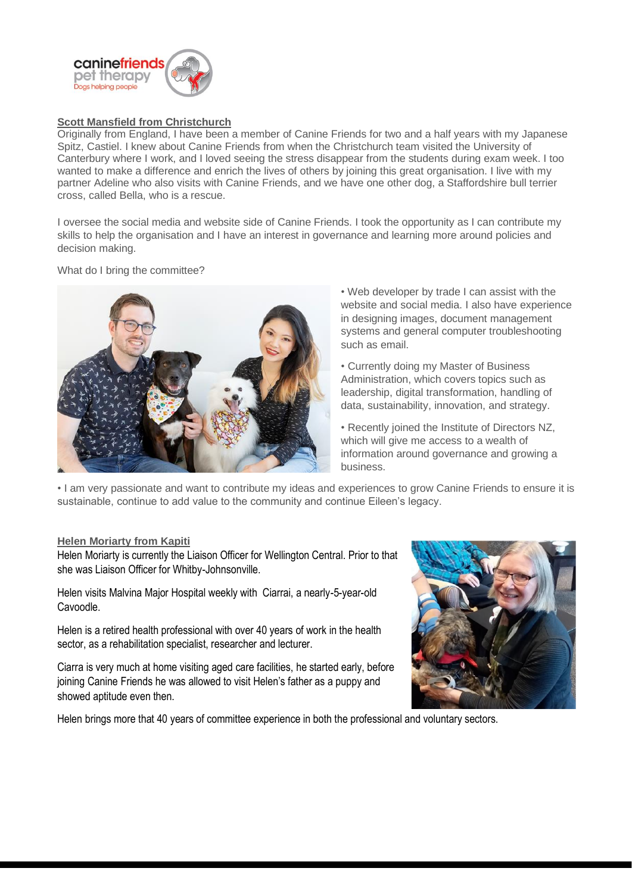

# **Scott Mansfield from Christchurch**

Originally from England, I have been a member of Canine Friends for two and a half years with my Japanese Spitz, Castiel. I knew about Canine Friends from when the Christchurch team visited the University of Canterbury where I work, and I loved seeing the stress disappear from the students during exam week. I too wanted to make a difference and enrich the lives of others by joining this great organisation. I live with my partner Adeline who also visits with Canine Friends, and we have one other dog, a Staffordshire bull terrier cross, called Bella, who is a rescue.

I oversee the social media and website side of Canine Friends. I took the opportunity as I can contribute my skills to help the organisation and I have an interest in governance and learning more around policies and decision making.

What do I bring the committee?



• Web developer by trade I can assist with the website and social media. I also have experience in designing images, document management systems and general computer troubleshooting such as email.

• Currently doing my Master of Business Administration, which covers topics such as leadership, digital transformation, handling of data, sustainability, innovation, and strategy.

• Recently joined the Institute of Directors NZ, which will give me access to a wealth of information around governance and growing a business.

• I am very passionate and want to contribute my ideas and experiences to grow Canine Friends to ensure it is sustainable, continue to add value to the community and continue Eileen's legacy.

## **Helen Moriarty from Kapiti**

Helen Moriarty is currently the Liaison Officer for Wellington Central. Prior to that she was Liaison Officer for Whitby-Johnsonville.

Helen visits Malvina Major Hospital weekly with Ciarrai, a nearly-5-year-old Cavoodle.

Helen is a retired health professional with over 40 years of work in the health sector, as a rehabilitation specialist, researcher and lecturer.

Ciarra is very much at home visiting aged care facilities, he started early, before joining Canine Friends he was allowed to visit Helen's father as a puppy and showed aptitude even then.

Helen brings more that 40 years of committee experience in both the professional and voluntary sectors.